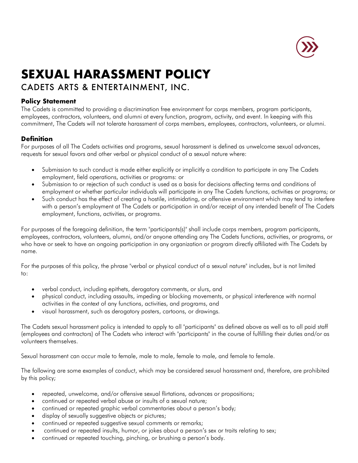

# **SEXUAL HARASSMENT POLICY**

# CADETS ARTS & ENTERTAINMENT, INC.

# **Policy Statement**

The Cadets is committed to providing a discrimination free environment for corps members, program participants, employees, contractors, volunteers, and alumni at every function, program, activity, and event. In keeping with this commitment, The Cadets will not tolerate harassment of corps members, employees, contractors, volunteers, or alumni.

### **Definition**

For purposes of all The Cadets activities and programs, sexual harassment is defined as unwelcome sexual advances, requests for sexual favors and other verbal or physical conduct of a sexual nature where:

- Submission to such conduct is made either explicitly or implicitly a condition to participate in any The Cadets employment, field operations, activities or programs: or
- Submission to or rejection of such conduct is used as a basis for decisions affecting terms and conditions of employment or whether particular individuals will participate in any The Cadets functions, activities or programs; or
- Such conduct has the effect of creating a hostile, intimidating, or offensive environment which may tend to interfere with a person's employment at The Cadets or participation in and/or receipt of any intended benefit of The Cadets employment, functions, activities, or programs.

For purposes of the foregoing definition, the term "participants(s)" shall include corps members, program participants, employees, contractors, volunteers, alumni, and/or anyone attending any The Cadets functions, activities, or programs, or who have or seek to have an ongoing participation in any organization or program directly affiliated with The Cadets by name.

For the purposes of this policy, the phrase "verbal or physical conduct of a sexual nature" includes, but is not limited to:

- verbal conduct, including epithets, derogatory comments, or slurs, and
- physical conduct, including assaults, impeding or blocking movements, or physical interference with normal activities in the context of any functions, activities, and programs, and
- visual harassment, such as derogatory posters, cartoons, or drawings.

The Cadets sexual harassment policy is intended to apply to all "participants" as defined above as well as to all paid staff (employees and contractors) of The Cadets who interact with "participants" in the course of fulfilling their duties and/or as volunteers themselves.

Sexual harassment can occur male to female, male to male, female to male, and female to female.

The following are some examples of conduct, which may be considered sexual harassment and, therefore, are prohibited by this policy;

- repeated, unwelcome, and/or offensive sexual flirtations, advances or propositions;
- continued or repeated verbal abuse or insults of a sexual nature;
- continued or repeated graphic verbal commentaries about a person's body;
- display of sexually suggestive objects or pictures;
- continued or repeated suggestive sexual comments or remarks;
- continued or repeated insults, humor, or jokes about a person's sex or traits relating to sex;
- continued or repeated touching, pinching, or brushing a person's body.